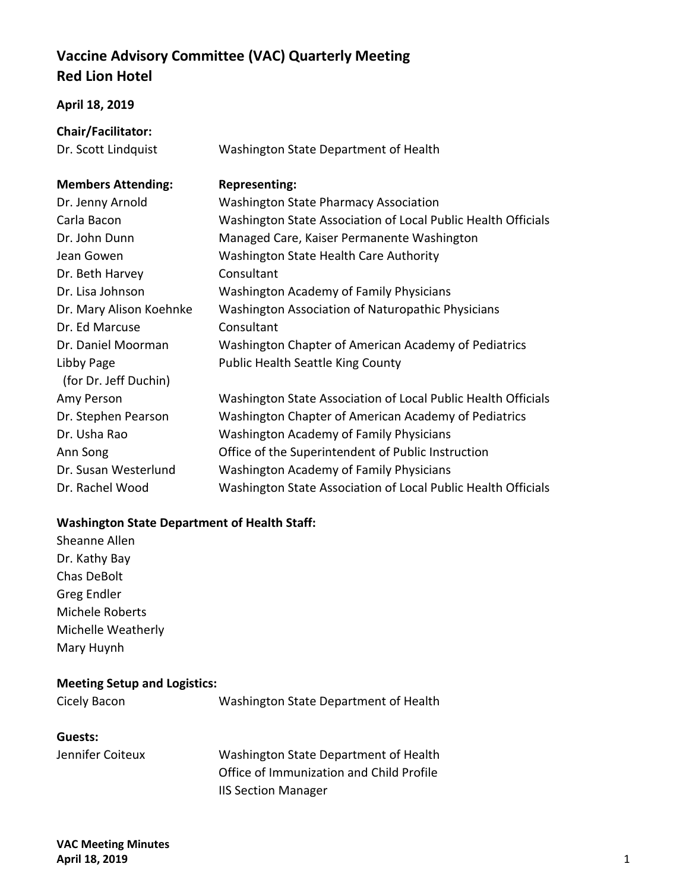# **Vaccine Advisory Committee (VAC) Quarterly Meeting Red Lion Hotel**

#### **April 18, 2019**

| <b>Chair/Facilitator:</b> |                                              |
|---------------------------|----------------------------------------------|
| Dr. Scott Lindquist       | Washington State Department of Health        |
|                           |                                              |
| <b>Members Attending:</b> | <b>Representing:</b>                         |
| Dr. Jenny Arnold          | <b>Washington State Pharmacy Association</b> |
|                           |                                              |

| Dr. Jenny Arnold        | <b>Washington State Pharmacy Association</b>                  |
|-------------------------|---------------------------------------------------------------|
| Carla Bacon             | Washington State Association of Local Public Health Officials |
| Dr. John Dunn           | Managed Care, Kaiser Permanente Washington                    |
| Jean Gowen              | Washington State Health Care Authority                        |
| Dr. Beth Harvey         | Consultant                                                    |
| Dr. Lisa Johnson        | <b>Washington Academy of Family Physicians</b>                |
| Dr. Mary Alison Koehnke | Washington Association of Naturopathic Physicians             |
| Dr. Ed Marcuse          | Consultant                                                    |
| Dr. Daniel Moorman      | Washington Chapter of American Academy of Pediatrics          |
| Libby Page              | <b>Public Health Seattle King County</b>                      |
| (for Dr. Jeff Duchin)   |                                                               |
| Amy Person              | Washington State Association of Local Public Health Officials |
| Dr. Stephen Pearson     | Washington Chapter of American Academy of Pediatrics          |
| Dr. Usha Rao            | <b>Washington Academy of Family Physicians</b>                |
| Ann Song                | Office of the Superintendent of Public Instruction            |
| Dr. Susan Westerlund    | <b>Washington Academy of Family Physicians</b>                |
| Dr. Rachel Wood         | Washington State Association of Local Public Health Officials |

## **Washington State Department of Health Staff:**

Sheanne Allen Dr. Kathy Bay Chas DeBolt Greg Endler Michele Roberts Michelle Weatherly Mary Huynh

### **Meeting Setup and Logistics:**

Cicely Bacon Washington State Department of Health

#### **Guests:**

Jennifer Coiteux Washington State Department of Health Office of Immunization and Child Profile IIS Section Manager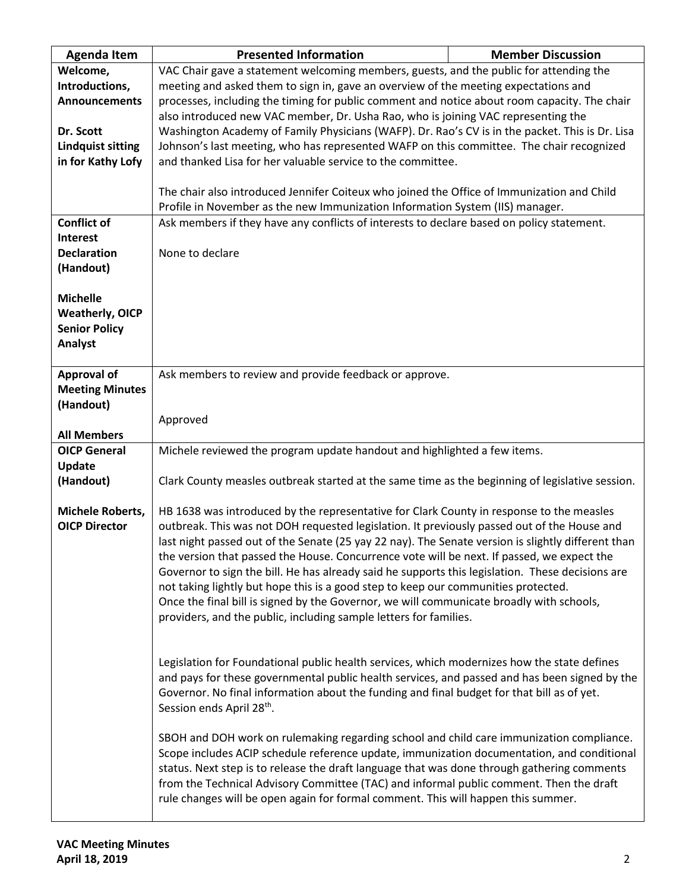| <b>Agenda Item</b>                           | <b>Presented Information</b>                                                                       | <b>Member Discussion</b> |  |
|----------------------------------------------|----------------------------------------------------------------------------------------------------|--------------------------|--|
| Welcome,                                     | VAC Chair gave a statement welcoming members, guests, and the public for attending the             |                          |  |
| Introductions,                               | meeting and asked them to sign in, gave an overview of the meeting expectations and                |                          |  |
| <b>Announcements</b>                         | processes, including the timing for public comment and notice about room capacity. The chair       |                          |  |
|                                              | also introduced new VAC member, Dr. Usha Rao, who is joining VAC representing the                  |                          |  |
| Dr. Scott                                    | Washington Academy of Family Physicians (WAFP). Dr. Rao's CV is in the packet. This is Dr. Lisa    |                          |  |
| <b>Lindquist sitting</b>                     | Johnson's last meeting, who has represented WAFP on this committee. The chair recognized           |                          |  |
| in for Kathy Lofy                            | and thanked Lisa for her valuable service to the committee.                                        |                          |  |
|                                              |                                                                                                    |                          |  |
|                                              | The chair also introduced Jennifer Coiteux who joined the Office of Immunization and Child         |                          |  |
|                                              | Profile in November as the new Immunization Information System (IIS) manager.                      |                          |  |
| <b>Conflict of</b>                           | Ask members if they have any conflicts of interests to declare based on policy statement.          |                          |  |
| <b>Interest</b>                              |                                                                                                    |                          |  |
| <b>Declaration</b>                           | None to declare                                                                                    |                          |  |
| (Handout)                                    |                                                                                                    |                          |  |
|                                              |                                                                                                    |                          |  |
| <b>Michelle</b>                              |                                                                                                    |                          |  |
| <b>Weatherly, OICP</b>                       |                                                                                                    |                          |  |
| <b>Senior Policy</b>                         |                                                                                                    |                          |  |
| Analyst                                      |                                                                                                    |                          |  |
|                                              |                                                                                                    |                          |  |
| <b>Approval of</b><br><b>Meeting Minutes</b> | Ask members to review and provide feedback or approve.                                             |                          |  |
| (Handout)                                    |                                                                                                    |                          |  |
|                                              |                                                                                                    |                          |  |
| <b>All Members</b>                           | Approved                                                                                           |                          |  |
| <b>OICP General</b>                          | Michele reviewed the program update handout and highlighted a few items.                           |                          |  |
| Update                                       |                                                                                                    |                          |  |
| (Handout)                                    | Clark County measles outbreak started at the same time as the beginning of legislative session.    |                          |  |
|                                              |                                                                                                    |                          |  |
| Michele Roberts,                             | HB 1638 was introduced by the representative for Clark County in response to the measles           |                          |  |
| <b>OICP Director</b>                         | outbreak. This was not DOH requested legislation. It previously passed out of the House and        |                          |  |
|                                              | last night passed out of the Senate (25 yay 22 nay). The Senate version is slightly different than |                          |  |
|                                              | the version that passed the House. Concurrence vote will be next. If passed, we expect the         |                          |  |
|                                              | Governor to sign the bill. He has already said he supports this legislation. These decisions are   |                          |  |
|                                              | not taking lightly but hope this is a good step to keep our communities protected.                 |                          |  |
|                                              | Once the final bill is signed by the Governor, we will communicate broadly with schools,           |                          |  |
|                                              | providers, and the public, including sample letters for families.                                  |                          |  |
|                                              |                                                                                                    |                          |  |
|                                              |                                                                                                    |                          |  |
|                                              | Legislation for Foundational public health services, which modernizes how the state defines        |                          |  |
|                                              | and pays for these governmental public health services, and passed and has been signed by the      |                          |  |
|                                              | Governor. No final information about the funding and final budget for that bill as of yet.         |                          |  |
|                                              | Session ends April 28 <sup>th</sup> .                                                              |                          |  |
|                                              |                                                                                                    |                          |  |
|                                              | SBOH and DOH work on rulemaking regarding school and child care immunization compliance.           |                          |  |
|                                              | Scope includes ACIP schedule reference update, immunization documentation, and conditional         |                          |  |
|                                              | status. Next step is to release the draft language that was done through gathering comments        |                          |  |
|                                              | from the Technical Advisory Committee (TAC) and informal public comment. Then the draft            |                          |  |
|                                              | rule changes will be open again for formal comment. This will happen this summer.                  |                          |  |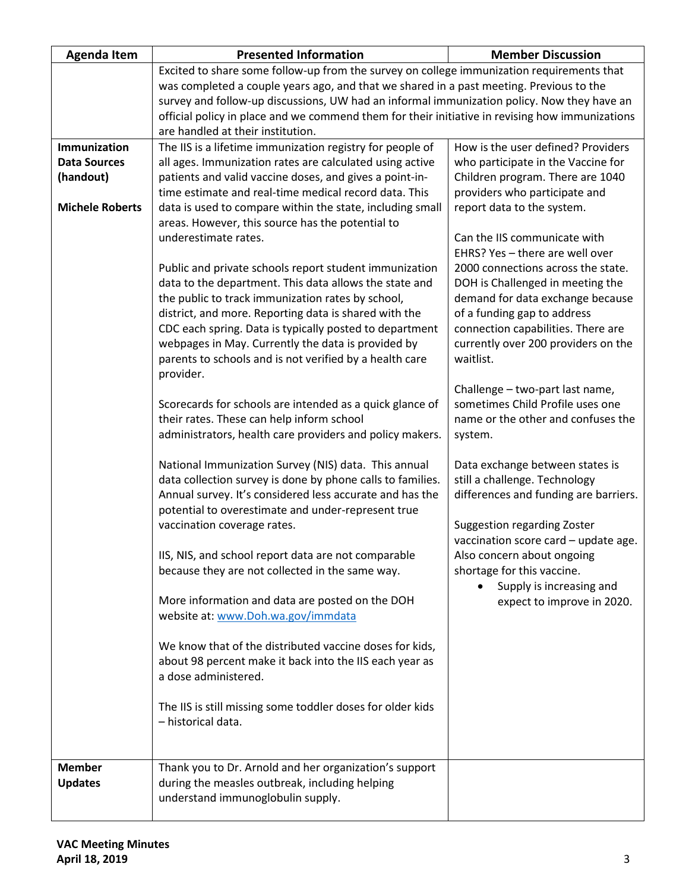| <b>Agenda Item</b>                                                         | <b>Presented Information</b>                                                                                                                                                                                                                                                                                                                                                                                                                                                                                                                                                                                                                                                                                                                                                                                                                                                                                                                                                                                                                                                                                                                                                                                                                                                                                                                                                                                                                                                                                                                                    | <b>Member Discussion</b>                                                                                                                                                                                                                                                                                                                                                                                                                                                                                                                                                                                                                                                                                                                                                                                                                                                                                                       |  |
|----------------------------------------------------------------------------|-----------------------------------------------------------------------------------------------------------------------------------------------------------------------------------------------------------------------------------------------------------------------------------------------------------------------------------------------------------------------------------------------------------------------------------------------------------------------------------------------------------------------------------------------------------------------------------------------------------------------------------------------------------------------------------------------------------------------------------------------------------------------------------------------------------------------------------------------------------------------------------------------------------------------------------------------------------------------------------------------------------------------------------------------------------------------------------------------------------------------------------------------------------------------------------------------------------------------------------------------------------------------------------------------------------------------------------------------------------------------------------------------------------------------------------------------------------------------------------------------------------------------------------------------------------------|--------------------------------------------------------------------------------------------------------------------------------------------------------------------------------------------------------------------------------------------------------------------------------------------------------------------------------------------------------------------------------------------------------------------------------------------------------------------------------------------------------------------------------------------------------------------------------------------------------------------------------------------------------------------------------------------------------------------------------------------------------------------------------------------------------------------------------------------------------------------------------------------------------------------------------|--|
|                                                                            | Excited to share some follow-up from the survey on college immunization requirements that                                                                                                                                                                                                                                                                                                                                                                                                                                                                                                                                                                                                                                                                                                                                                                                                                                                                                                                                                                                                                                                                                                                                                                                                                                                                                                                                                                                                                                                                       |                                                                                                                                                                                                                                                                                                                                                                                                                                                                                                                                                                                                                                                                                                                                                                                                                                                                                                                                |  |
|                                                                            | was completed a couple years ago, and that we shared in a past meeting. Previous to the                                                                                                                                                                                                                                                                                                                                                                                                                                                                                                                                                                                                                                                                                                                                                                                                                                                                                                                                                                                                                                                                                                                                                                                                                                                                                                                                                                                                                                                                         |                                                                                                                                                                                                                                                                                                                                                                                                                                                                                                                                                                                                                                                                                                                                                                                                                                                                                                                                |  |
|                                                                            | survey and follow-up discussions, UW had an informal immunization policy. Now they have an                                                                                                                                                                                                                                                                                                                                                                                                                                                                                                                                                                                                                                                                                                                                                                                                                                                                                                                                                                                                                                                                                                                                                                                                                                                                                                                                                                                                                                                                      |                                                                                                                                                                                                                                                                                                                                                                                                                                                                                                                                                                                                                                                                                                                                                                                                                                                                                                                                |  |
|                                                                            | are handled at their institution.                                                                                                                                                                                                                                                                                                                                                                                                                                                                                                                                                                                                                                                                                                                                                                                                                                                                                                                                                                                                                                                                                                                                                                                                                                                                                                                                                                                                                                                                                                                               |                                                                                                                                                                                                                                                                                                                                                                                                                                                                                                                                                                                                                                                                                                                                                                                                                                                                                                                                |  |
| Immunization<br><b>Data Sources</b><br>(handout)<br><b>Michele Roberts</b> | official policy in place and we commend them for their initiative in revising how immunizations<br>The IIS is a lifetime immunization registry for people of<br>all ages. Immunization rates are calculated using active<br>patients and valid vaccine doses, and gives a point-in-<br>time estimate and real-time medical record data. This<br>data is used to compare within the state, including small<br>areas. However, this source has the potential to<br>underestimate rates.<br>Public and private schools report student immunization<br>data to the department. This data allows the state and<br>the public to track immunization rates by school,<br>district, and more. Reporting data is shared with the<br>CDC each spring. Data is typically posted to department<br>webpages in May. Currently the data is provided by<br>parents to schools and is not verified by a health care<br>provider.<br>Scorecards for schools are intended as a quick glance of<br>their rates. These can help inform school<br>administrators, health care providers and policy makers.<br>National Immunization Survey (NIS) data. This annual<br>data collection survey is done by phone calls to families.<br>Annual survey. It's considered less accurate and has the<br>potential to overestimate and under-represent true<br>vaccination coverage rates.<br>IIS, NIS, and school report data are not comparable<br>because they are not collected in the same way.<br>More information and data are posted on the DOH<br>website at: www.Doh.wa.gov/immdata | How is the user defined? Providers<br>who participate in the Vaccine for<br>Children program. There are 1040<br>providers who participate and<br>report data to the system.<br>Can the IIS communicate with<br>EHRS? Yes - there are well over<br>2000 connections across the state.<br>DOH is Challenged in meeting the<br>demand for data exchange because<br>of a funding gap to address<br>connection capabilities. There are<br>currently over 200 providers on the<br>waitlist.<br>Challenge - two-part last name,<br>sometimes Child Profile uses one<br>name or the other and confuses the<br>system.<br>Data exchange between states is<br>still a challenge. Technology<br>differences and funding are barriers.<br><b>Suggestion regarding Zoster</b><br>vaccination score card - update age.<br>Also concern about ongoing<br>shortage for this vaccine.<br>Supply is increasing and<br>expect to improve in 2020. |  |
|                                                                            | We know that of the distributed vaccine doses for kids,<br>about 98 percent make it back into the IIS each year as<br>a dose administered.                                                                                                                                                                                                                                                                                                                                                                                                                                                                                                                                                                                                                                                                                                                                                                                                                                                                                                                                                                                                                                                                                                                                                                                                                                                                                                                                                                                                                      |                                                                                                                                                                                                                                                                                                                                                                                                                                                                                                                                                                                                                                                                                                                                                                                                                                                                                                                                |  |
|                                                                            | The IIS is still missing some toddler doses for older kids<br>- historical data.                                                                                                                                                                                                                                                                                                                                                                                                                                                                                                                                                                                                                                                                                                                                                                                                                                                                                                                                                                                                                                                                                                                                                                                                                                                                                                                                                                                                                                                                                |                                                                                                                                                                                                                                                                                                                                                                                                                                                                                                                                                                                                                                                                                                                                                                                                                                                                                                                                |  |
| <b>Member</b><br><b>Updates</b>                                            | Thank you to Dr. Arnold and her organization's support<br>during the measles outbreak, including helping<br>understand immunoglobulin supply.                                                                                                                                                                                                                                                                                                                                                                                                                                                                                                                                                                                                                                                                                                                                                                                                                                                                                                                                                                                                                                                                                                                                                                                                                                                                                                                                                                                                                   |                                                                                                                                                                                                                                                                                                                                                                                                                                                                                                                                                                                                                                                                                                                                                                                                                                                                                                                                |  |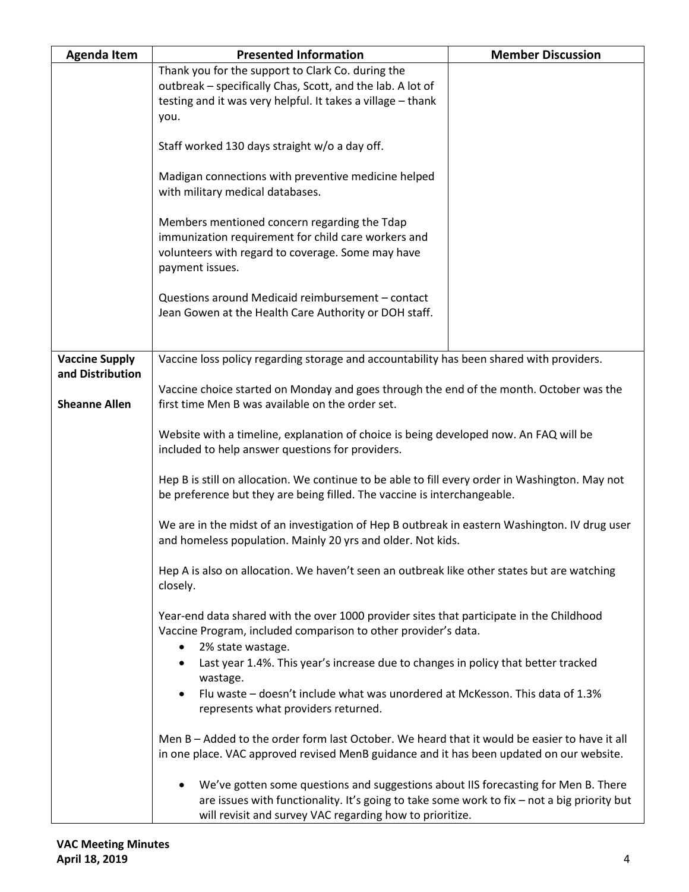| <b>Agenda Item</b>                       | <b>Presented Information</b>                                                                                                                                                                                                                       | <b>Member Discussion</b> |  |
|------------------------------------------|----------------------------------------------------------------------------------------------------------------------------------------------------------------------------------------------------------------------------------------------------|--------------------------|--|
|                                          | Thank you for the support to Clark Co. during the<br>outbreak - specifically Chas, Scott, and the lab. A lot of<br>testing and it was very helpful. It takes a village - thank<br>you.                                                             |                          |  |
|                                          | Staff worked 130 days straight w/o a day off.                                                                                                                                                                                                      |                          |  |
|                                          | Madigan connections with preventive medicine helped<br>with military medical databases.                                                                                                                                                            |                          |  |
|                                          | Members mentioned concern regarding the Tdap<br>immunization requirement for child care workers and<br>volunteers with regard to coverage. Some may have<br>payment issues.                                                                        |                          |  |
|                                          | Questions around Medicaid reimbursement - contact<br>Jean Gowen at the Health Care Authority or DOH staff.                                                                                                                                         |                          |  |
| <b>Vaccine Supply</b>                    | Vaccine loss policy regarding storage and accountability has been shared with providers.                                                                                                                                                           |                          |  |
| and Distribution<br><b>Sheanne Allen</b> | Vaccine choice started on Monday and goes through the end of the month. October was the<br>first time Men B was available on the order set.                                                                                                        |                          |  |
|                                          | Website with a timeline, explanation of choice is being developed now. An FAQ will be<br>included to help answer questions for providers.                                                                                                          |                          |  |
|                                          | Hep B is still on allocation. We continue to be able to fill every order in Washington. May not<br>be preference but they are being filled. The vaccine is interchangeable.                                                                        |                          |  |
|                                          | We are in the midst of an investigation of Hep B outbreak in eastern Washington. IV drug user<br>and homeless population. Mainly 20 yrs and older. Not kids.                                                                                       |                          |  |
|                                          | Hep A is also on allocation. We haven't seen an outbreak like other states but are watching<br>closely.                                                                                                                                            |                          |  |
|                                          | Year-end data shared with the over 1000 provider sites that participate in the Childhood<br>Vaccine Program, included comparison to other provider's data.<br>2% state wastage.<br>$\bullet$                                                       |                          |  |
|                                          | Last year 1.4%. This year's increase due to changes in policy that better tracked                                                                                                                                                                  |                          |  |
|                                          | wastage.<br>Flu waste - doesn't include what was unordered at McKesson. This data of 1.3%<br>represents what providers returned.                                                                                                                   |                          |  |
|                                          | Men B - Added to the order form last October. We heard that it would be easier to have it all<br>in one place. VAC approved revised MenB guidance and it has been updated on our website.                                                          |                          |  |
|                                          | We've gotten some questions and suggestions about IIS forecasting for Men B. There<br>٠<br>are issues with functionality. It's going to take some work to fix - not a big priority but<br>will revisit and survey VAC regarding how to prioritize. |                          |  |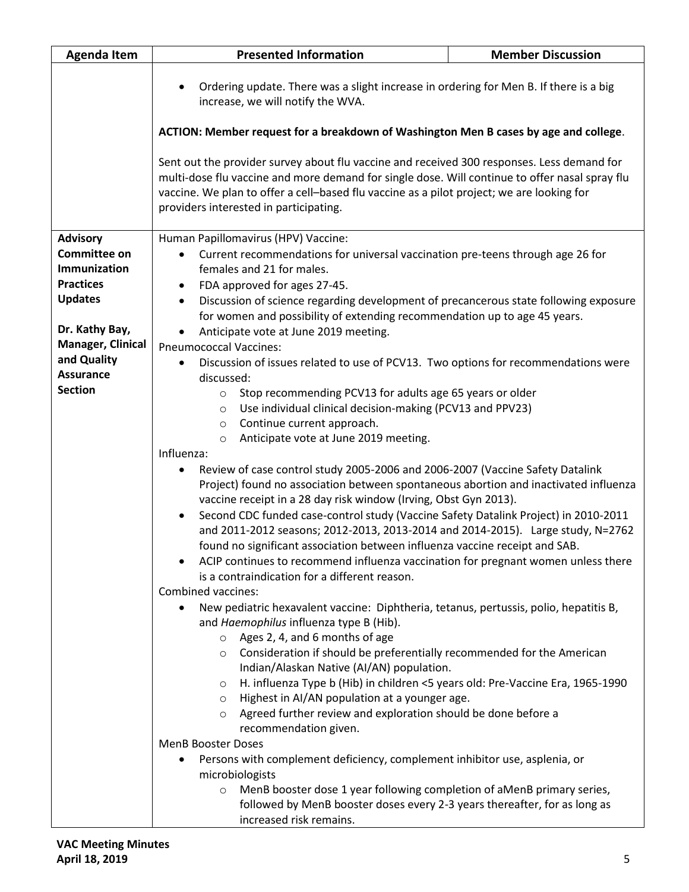| <b>Agenda Item</b>                  | <b>Presented Information</b>                                                                                                                                                                                                                                                                                                                                                                                                | <b>Member Discussion</b>                                                              |  |
|-------------------------------------|-----------------------------------------------------------------------------------------------------------------------------------------------------------------------------------------------------------------------------------------------------------------------------------------------------------------------------------------------------------------------------------------------------------------------------|---------------------------------------------------------------------------------------|--|
|                                     | $\bullet$<br>increase, we will notify the WVA.                                                                                                                                                                                                                                                                                                                                                                              | Ordering update. There was a slight increase in ordering for Men B. If there is a big |  |
|                                     | ACTION: Member request for a breakdown of Washington Men B cases by age and college.<br>Sent out the provider survey about flu vaccine and received 300 responses. Less demand for<br>multi-dose flu vaccine and more demand for single dose. Will continue to offer nasal spray flu<br>vaccine. We plan to offer a cell-based flu vaccine as a pilot project; we are looking for<br>providers interested in participating. |                                                                                       |  |
|                                     |                                                                                                                                                                                                                                                                                                                                                                                                                             |                                                                                       |  |
| <b>Advisory</b>                     | Human Papillomavirus (HPV) Vaccine:                                                                                                                                                                                                                                                                                                                                                                                         |                                                                                       |  |
| <b>Committee on</b>                 | Current recommendations for universal vaccination pre-teens through age 26 for<br>$\bullet$                                                                                                                                                                                                                                                                                                                                 |                                                                                       |  |
| <b>Immunization</b>                 | females and 21 for males.                                                                                                                                                                                                                                                                                                                                                                                                   |                                                                                       |  |
| <b>Practices</b>                    | FDA approved for ages 27-45.<br>٠                                                                                                                                                                                                                                                                                                                                                                                           |                                                                                       |  |
| <b>Updates</b>                      | Discussion of science regarding development of precancerous state following exposure<br>$\bullet$                                                                                                                                                                                                                                                                                                                           |                                                                                       |  |
|                                     | for women and possibility of extending recommendation up to age 45 years.                                                                                                                                                                                                                                                                                                                                                   |                                                                                       |  |
| Dr. Kathy Bay,<br>Manager, Clinical | Anticipate vote at June 2019 meeting.<br>$\bullet$                                                                                                                                                                                                                                                                                                                                                                          |                                                                                       |  |
| and Quality                         | <b>Pneumococcal Vaccines:</b>                                                                                                                                                                                                                                                                                                                                                                                               |                                                                                       |  |
| <b>Assurance</b>                    | Discussion of issues related to use of PCV13. Two options for recommendations were<br>$\bullet$<br>discussed:                                                                                                                                                                                                                                                                                                               |                                                                                       |  |
| <b>Section</b>                      | Stop recommending PCV13 for adults age 65 years or older<br>$\circ$<br>Use individual clinical decision-making (PCV13 and PPV23)<br>$\circ$<br>Continue current approach.<br>$\circ$                                                                                                                                                                                                                                        |                                                                                       |  |
|                                     | Anticipate vote at June 2019 meeting.<br>$\circ$<br>Influenza:<br>Review of case control study 2005-2006 and 2006-2007 (Vaccine Safety Datalink<br>$\bullet$<br>Project) found no association between spontaneous abortion and inactivated influenza<br>vaccine receipt in a 28 day risk window (Irving, Obst Gyn 2013).                                                                                                    |                                                                                       |  |
|                                     |                                                                                                                                                                                                                                                                                                                                                                                                                             |                                                                                       |  |
|                                     | Second CDC funded case-control study (Vaccine Safety Datalink Project) in 2010-2011<br>$\bullet$<br>and 2011-2012 seasons; 2012-2013, 2013-2014 and 2014-2015). Large study, N=2762<br>found no significant association between influenza vaccine receipt and SAB.<br>ACIP continues to recommend influenza vaccination for pregnant women unless there                                                                     |                                                                                       |  |
|                                     | is a contraindication for a different reason.                                                                                                                                                                                                                                                                                                                                                                               |                                                                                       |  |
|                                     | Combined vaccines:                                                                                                                                                                                                                                                                                                                                                                                                          |                                                                                       |  |
|                                     | New pediatric hexavalent vaccine: Diphtheria, tetanus, pertussis, polio, hepatitis B,<br>$\bullet$<br>and Haemophilus influenza type B (Hib).<br>Ages 2, 4, and 6 months of age<br>$\circ$                                                                                                                                                                                                                                  |                                                                                       |  |
|                                     | Consideration if should be preferentially recommended for the American<br>$\circ$<br>Indian/Alaskan Native (AI/AN) population.                                                                                                                                                                                                                                                                                              |                                                                                       |  |
|                                     | H. influenza Type b (Hib) in children <5 years old: Pre-Vaccine Era, 1965-1990<br>$\circ$<br>Highest in AI/AN population at a younger age.<br>$\circ$                                                                                                                                                                                                                                                                       |                                                                                       |  |
|                                     | Agreed further review and exploration should be done before a<br>$\circ$<br>recommendation given.                                                                                                                                                                                                                                                                                                                           |                                                                                       |  |
|                                     | <b>MenB Booster Doses</b>                                                                                                                                                                                                                                                                                                                                                                                                   |                                                                                       |  |
|                                     | Persons with complement deficiency, complement inhibitor use, asplenia, or                                                                                                                                                                                                                                                                                                                                                  |                                                                                       |  |
|                                     | microbiologists                                                                                                                                                                                                                                                                                                                                                                                                             |                                                                                       |  |
|                                     | MenB booster dose 1 year following completion of aMenB primary series,<br>$\circ$<br>followed by MenB booster doses every 2-3 years thereafter, for as long as<br>increased risk remains.                                                                                                                                                                                                                                   |                                                                                       |  |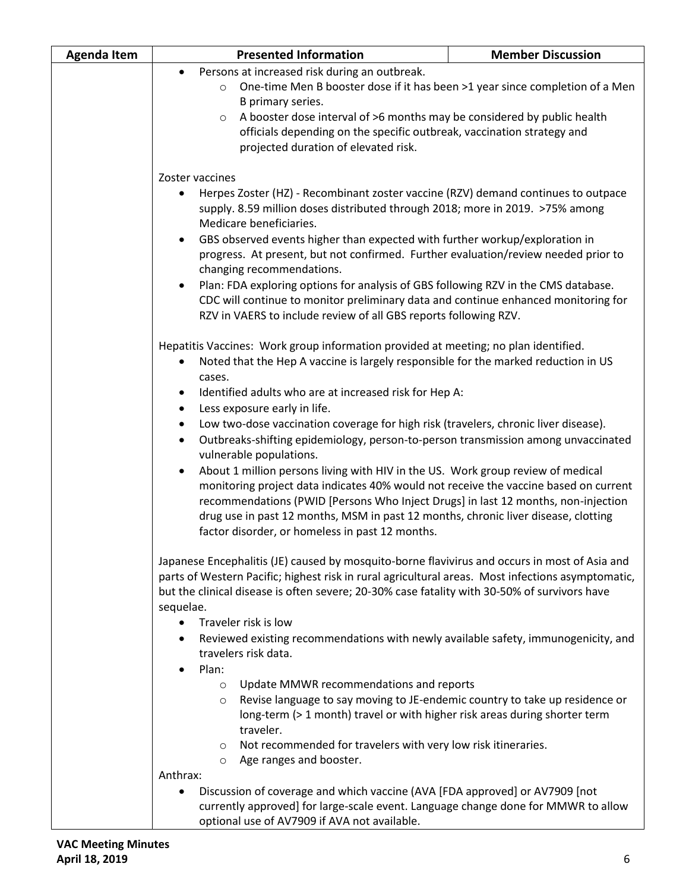| <b>Agenda Item</b> | <b>Presented Information</b>                                                                                                                                                                       | <b>Member Discussion</b> |
|--------------------|----------------------------------------------------------------------------------------------------------------------------------------------------------------------------------------------------|--------------------------|
|                    | Persons at increased risk during an outbreak.<br>$\bullet$                                                                                                                                         |                          |
|                    | One-time Men B booster dose if it has been >1 year since completion of a Men<br>$\circ$                                                                                                            |                          |
|                    | B primary series.                                                                                                                                                                                  |                          |
|                    | A booster dose interval of >6 months may be considered by public health<br>$\circ$                                                                                                                 |                          |
|                    | officials depending on the specific outbreak, vaccination strategy and                                                                                                                             |                          |
|                    | projected duration of elevated risk.                                                                                                                                                               |                          |
|                    |                                                                                                                                                                                                    |                          |
|                    | Zoster vaccines                                                                                                                                                                                    |                          |
|                    | Herpes Zoster (HZ) - Recombinant zoster vaccine (RZV) demand continues to outpace<br>$\bullet$                                                                                                     |                          |
|                    | supply. 8.59 million doses distributed through 2018; more in 2019. >75% among                                                                                                                      |                          |
|                    | Medicare beneficiaries.                                                                                                                                                                            |                          |
|                    | GBS observed events higher than expected with further workup/exploration in<br>$\bullet$                                                                                                           |                          |
|                    | progress. At present, but not confirmed. Further evaluation/review needed prior to                                                                                                                 |                          |
|                    | changing recommendations.                                                                                                                                                                          |                          |
|                    | Plan: FDA exploring options for analysis of GBS following RZV in the CMS database.<br>$\bullet$                                                                                                    |                          |
|                    | CDC will continue to monitor preliminary data and continue enhanced monitoring for                                                                                                                 |                          |
|                    | RZV in VAERS to include review of all GBS reports following RZV.                                                                                                                                   |                          |
|                    | Hepatitis Vaccines: Work group information provided at meeting; no plan identified.                                                                                                                |                          |
|                    | Noted that the Hep A vaccine is largely responsible for the marked reduction in US<br>٠                                                                                                            |                          |
|                    | cases.                                                                                                                                                                                             |                          |
|                    |                                                                                                                                                                                                    |                          |
|                    | Identified adults who are at increased risk for Hep A:<br>٠<br>Less exposure early in life.<br>$\bullet$                                                                                           |                          |
|                    | $\bullet$                                                                                                                                                                                          |                          |
|                    | Low two-dose vaccination coverage for high risk (travelers, chronic liver disease).<br>Outbreaks-shifting epidemiology, person-to-person transmission among unvaccinated<br>$\bullet$              |                          |
|                    | vulnerable populations.                                                                                                                                                                            |                          |
|                    | About 1 million persons living with HIV in the US. Work group review of medical<br>$\bullet$                                                                                                       |                          |
|                    | monitoring project data indicates 40% would not receive the vaccine based on current                                                                                                               |                          |
|                    | recommendations (PWID [Persons Who Inject Drugs] in last 12 months, non-injection                                                                                                                  |                          |
|                    | drug use in past 12 months, MSM in past 12 months, chronic liver disease, clotting<br>factor disorder, or homeless in past 12 months.                                                              |                          |
|                    |                                                                                                                                                                                                    |                          |
|                    |                                                                                                                                                                                                    |                          |
|                    | Japanese Encephalitis (JE) caused by mosquito-borne flavivirus and occurs in most of Asia and<br>parts of Western Pacific; highest risk in rural agricultural areas. Most infections asymptomatic, |                          |
|                    |                                                                                                                                                                                                    |                          |
|                    | but the clinical disease is often severe; 20-30% case fatality with 30-50% of survivors have                                                                                                       |                          |
|                    | sequelae.                                                                                                                                                                                          |                          |
|                    | Traveler risk is low<br>٠                                                                                                                                                                          |                          |
|                    | Reviewed existing recommendations with newly available safety, immunogenicity, and                                                                                                                 |                          |
|                    | travelers risk data.                                                                                                                                                                               |                          |
|                    | Plan:                                                                                                                                                                                              |                          |
|                    | Update MMWR recommendations and reports<br>$\circ$                                                                                                                                                 |                          |
|                    | Revise language to say moving to JE-endemic country to take up residence or<br>$\circ$                                                                                                             |                          |
|                    | long-term (> 1 month) travel or with higher risk areas during shorter term<br>traveler.                                                                                                            |                          |
|                    | Not recommended for travelers with very low risk itineraries.<br>$\circ$                                                                                                                           |                          |
|                    | Age ranges and booster.<br>$\circ$                                                                                                                                                                 |                          |
|                    | Anthrax:                                                                                                                                                                                           |                          |
|                    | Discussion of coverage and which vaccine (AVA [FDA approved] or AV7909 [not                                                                                                                        |                          |
|                    | currently approved] for large-scale event. Language change done for MMWR to allow                                                                                                                  |                          |
|                    | optional use of AV7909 if AVA not available.                                                                                                                                                       |                          |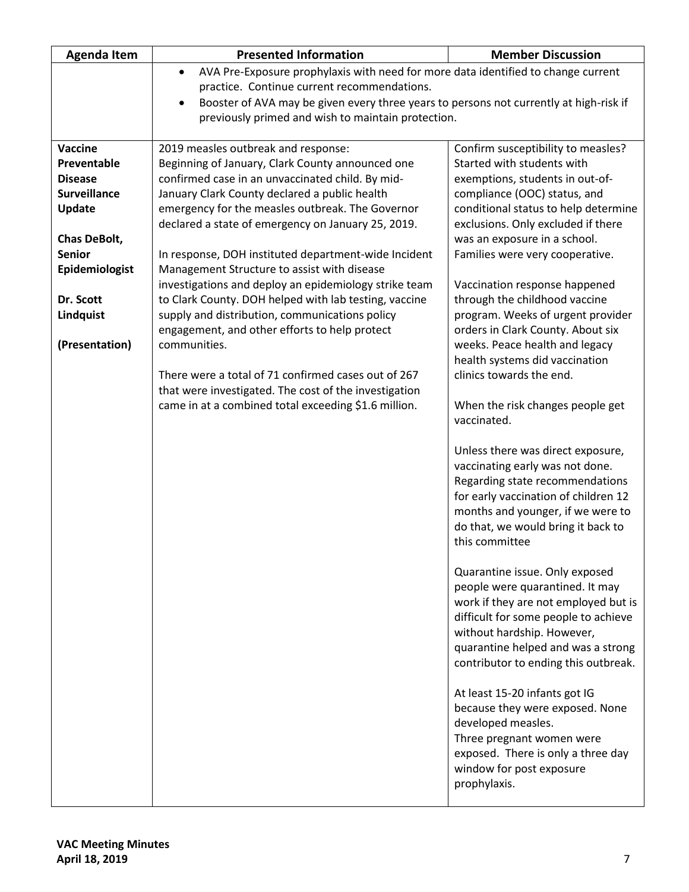| <b>Agenda Item</b>  | <b>Presented Information</b>                                                                        | <b>Member Discussion</b>                                               |
|---------------------|-----------------------------------------------------------------------------------------------------|------------------------------------------------------------------------|
|                     | AVA Pre-Exposure prophylaxis with need for more data identified to change current<br>$\bullet$      |                                                                        |
|                     | practice. Continue current recommendations.                                                         |                                                                        |
|                     | Booster of AVA may be given every three years to persons not currently at high-risk if<br>$\bullet$ |                                                                        |
|                     | previously primed and wish to maintain protection.                                                  |                                                                        |
|                     |                                                                                                     |                                                                        |
| <b>Vaccine</b>      | 2019 measles outbreak and response:                                                                 | Confirm susceptibility to measles?                                     |
| Preventable         | Beginning of January, Clark County announced one                                                    | Started with students with                                             |
| <b>Disease</b>      | confirmed case in an unvaccinated child. By mid-                                                    | exemptions, students in out-of-                                        |
| <b>Surveillance</b> | January Clark County declared a public health                                                       | compliance (OOC) status, and                                           |
| Update              | emergency for the measles outbreak. The Governor                                                    | conditional status to help determine                                   |
|                     | declared a state of emergency on January 25, 2019.                                                  | exclusions. Only excluded if there                                     |
| <b>Chas DeBolt,</b> |                                                                                                     | was an exposure in a school.                                           |
| <b>Senior</b>       | In response, DOH instituted department-wide Incident                                                | Families were very cooperative.                                        |
| Epidemiologist      | Management Structure to assist with disease                                                         |                                                                        |
|                     | investigations and deploy an epidemiology strike team                                               | Vaccination response happened                                          |
| Dr. Scott           | to Clark County. DOH helped with lab testing, vaccine                                               | through the childhood vaccine                                          |
| Lindquist           | supply and distribution, communications policy<br>engagement, and other efforts to help protect     | program. Weeks of urgent provider<br>orders in Clark County. About six |
| (Presentation)      | communities.                                                                                        | weeks. Peace health and legacy                                         |
|                     |                                                                                                     | health systems did vaccination                                         |
|                     | There were a total of 71 confirmed cases out of 267                                                 | clinics towards the end.                                               |
|                     | that were investigated. The cost of the investigation                                               |                                                                        |
|                     | came in at a combined total exceeding \$1.6 million.                                                | When the risk changes people get                                       |
|                     |                                                                                                     | vaccinated.                                                            |
|                     |                                                                                                     |                                                                        |
|                     |                                                                                                     | Unless there was direct exposure,                                      |
|                     |                                                                                                     | vaccinating early was not done.                                        |
|                     |                                                                                                     | Regarding state recommendations                                        |
|                     |                                                                                                     | for early vaccination of children 12                                   |
|                     |                                                                                                     | months and younger, if we were to                                      |
|                     |                                                                                                     | do that, we would bring it back to                                     |
|                     |                                                                                                     | this committee                                                         |
|                     |                                                                                                     |                                                                        |
|                     |                                                                                                     | Quarantine issue. Only exposed                                         |
|                     |                                                                                                     | people were quarantined. It may                                        |
|                     |                                                                                                     | work if they are not employed but is                                   |
|                     |                                                                                                     | difficult for some people to achieve                                   |
|                     |                                                                                                     | without hardship. However,                                             |
|                     |                                                                                                     | quarantine helped and was a strong                                     |
|                     |                                                                                                     | contributor to ending this outbreak.                                   |
|                     |                                                                                                     |                                                                        |
|                     |                                                                                                     | At least 15-20 infants got IG                                          |
|                     |                                                                                                     | because they were exposed. None                                        |
|                     |                                                                                                     | developed measles.                                                     |
|                     |                                                                                                     | Three pregnant women were                                              |
|                     |                                                                                                     | exposed. There is only a three day                                     |
|                     |                                                                                                     | window for post exposure                                               |
|                     |                                                                                                     | prophylaxis.                                                           |
|                     |                                                                                                     |                                                                        |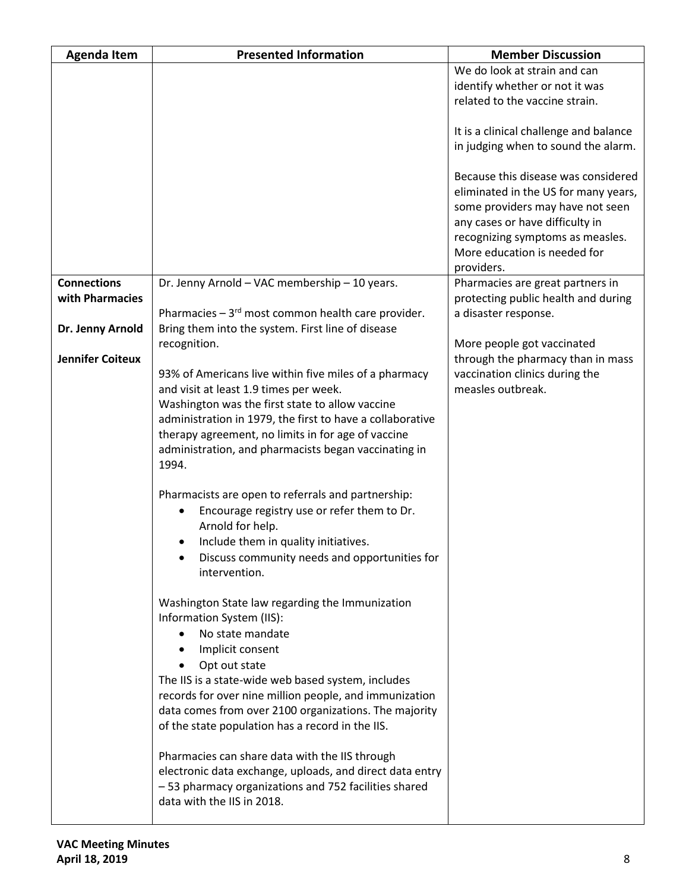| <b>Agenda Item</b>                    | <b>Presented Information</b>                                                                               | <b>Member Discussion</b>                                                      |
|---------------------------------------|------------------------------------------------------------------------------------------------------------|-------------------------------------------------------------------------------|
|                                       |                                                                                                            | We do look at strain and can                                                  |
|                                       |                                                                                                            | identify whether or not it was                                                |
|                                       |                                                                                                            | related to the vaccine strain.                                                |
|                                       |                                                                                                            |                                                                               |
|                                       |                                                                                                            | It is a clinical challenge and balance<br>in judging when to sound the alarm. |
|                                       |                                                                                                            |                                                                               |
|                                       |                                                                                                            | Because this disease was considered                                           |
|                                       |                                                                                                            | eliminated in the US for many years,                                          |
|                                       |                                                                                                            | some providers may have not seen                                              |
|                                       |                                                                                                            | any cases or have difficulty in                                               |
|                                       |                                                                                                            | recognizing symptoms as measles.                                              |
|                                       |                                                                                                            | More education is needed for                                                  |
|                                       |                                                                                                            | providers.                                                                    |
| <b>Connections</b><br>with Pharmacies | Dr. Jenny Arnold - VAC membership - 10 years.                                                              | Pharmacies are great partners in<br>protecting public health and during       |
|                                       | Pharmacies $-3^{rd}$ most common health care provider.                                                     | a disaster response.                                                          |
| Dr. Jenny Arnold                      | Bring them into the system. First line of disease                                                          |                                                                               |
|                                       | recognition.                                                                                               | More people got vaccinated                                                    |
| <b>Jennifer Coiteux</b>               |                                                                                                            | through the pharmacy than in mass                                             |
|                                       | 93% of Americans live within five miles of a pharmacy                                                      | vaccination clinics during the                                                |
|                                       | and visit at least 1.9 times per week.                                                                     | measles outbreak.                                                             |
|                                       | Washington was the first state to allow vaccine                                                            |                                                                               |
|                                       | administration in 1979, the first to have a collaborative                                                  |                                                                               |
|                                       | therapy agreement, no limits in for age of vaccine<br>administration, and pharmacists began vaccinating in |                                                                               |
|                                       | 1994.                                                                                                      |                                                                               |
|                                       |                                                                                                            |                                                                               |
|                                       | Pharmacists are open to referrals and partnership:                                                         |                                                                               |
|                                       | Encourage registry use or refer them to Dr.                                                                |                                                                               |
|                                       | Arnold for help.                                                                                           |                                                                               |
|                                       | Include them in quality initiatives.<br>$\bullet$                                                          |                                                                               |
|                                       | Discuss community needs and opportunities for                                                              |                                                                               |
|                                       | intervention.                                                                                              |                                                                               |
|                                       | Washington State law regarding the Immunization                                                            |                                                                               |
|                                       | Information System (IIS):                                                                                  |                                                                               |
|                                       | No state mandate                                                                                           |                                                                               |
|                                       | Implicit consent<br>$\bullet$                                                                              |                                                                               |
|                                       | Opt out state                                                                                              |                                                                               |
|                                       | The IIS is a state-wide web based system, includes                                                         |                                                                               |
|                                       | records for over nine million people, and immunization                                                     |                                                                               |
|                                       | data comes from over 2100 organizations. The majority                                                      |                                                                               |
|                                       | of the state population has a record in the IIS.                                                           |                                                                               |
|                                       | Pharmacies can share data with the IIS through                                                             |                                                                               |
|                                       | electronic data exchange, uploads, and direct data entry                                                   |                                                                               |
|                                       | -53 pharmacy organizations and 752 facilities shared                                                       |                                                                               |
|                                       | data with the IIS in 2018.                                                                                 |                                                                               |
|                                       |                                                                                                            |                                                                               |